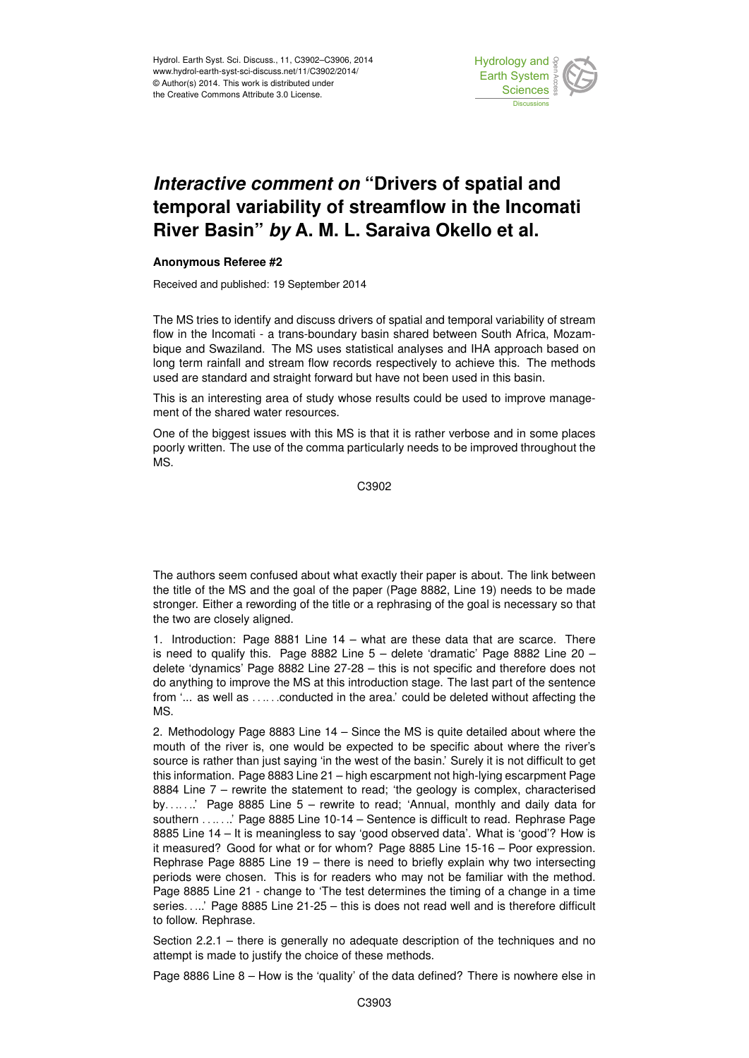

## *Interactive comment on* **"Drivers of spatial and temporal variability of streamflow in the Incomati River Basin"** *by* **A. M. L. Saraiva Okello et al.**

## **Anonymous Referee #2**

Received and published: 19 September 2014

The MS tries to identify and discuss drivers of spatial and temporal variability of stream flow in the Incomati - a trans-boundary basin shared between South Africa, Mozambique and Swaziland. The MS uses statistical analyses and IHA approach based on long term rainfall and stream flow records respectively to achieve this. The methods used are standard and straight forward but have not been used in this basin.

This is an interesting area of study whose results could be used to improve management of the shared water resources.

One of the biggest issues with this MS is that it is rather verbose and in some places poorly written. The use of the comma particularly needs to be improved throughout the MS.

C3902

The authors seem confused about what exactly their paper is about. The link between the title of the MS and the goal of the paper (Page 8882, Line 19) needs to be made stronger. Either a rewording of the title or a rephrasing of the goal is necessary so that the two are closely aligned.

1. Introduction: Page 8881 Line 14 – what are these data that are scarce. There is need to qualify this. Page 8882 Line  $5 -$  delete 'dramatic' Page 8882 Line 20 – delete 'dynamics' Page 8882 Line 27-28 – this is not specific and therefore does not do anything to improve the MS at this introduction stage. The last part of the sentence from '... as well as ......conducted in the area.' could be deleted without affecting the MS.

2. Methodology Page 8883 Line 14 – Since the MS is quite detailed about where the mouth of the river is, one would be expected to be specific about where the river's source is rather than just saying 'in the west of the basin.' Surely it is not difficult to get this information. Page 8883 Line 21 – high escarpment not high-lying escarpment Page 8884 Line 7 – rewrite the statement to read; 'the geology is complex, characterised by.......' Page 8885 Line  $5$  – rewrite to read; 'Annual, monthly and daily data for southern . . . . . . ' Page 8885 Line 10-14 – Sentence is difficult to read. Rephrase Page 8885 Line 14 – It is meaningless to say 'good observed data'. What is 'good'? How is it measured? Good for what or for whom? Page 8885 Line 15-16 – Poor expression. Rephrase Page 8885 Line 19 – there is need to briefly explain why two intersecting periods were chosen. This is for readers who may not be familiar with the method. Page 8885 Line 21 - change to 'The test determines the timing of a change in a time series. . ...' Page 8885 Line 21-25 – this is does not read well and is therefore difficult to follow. Rephrase.

Section 2.2.1 – there is generally no adequate description of the techniques and no attempt is made to justify the choice of these methods.

Page 8886 Line 8 – How is the 'quality' of the data defined? There is nowhere else in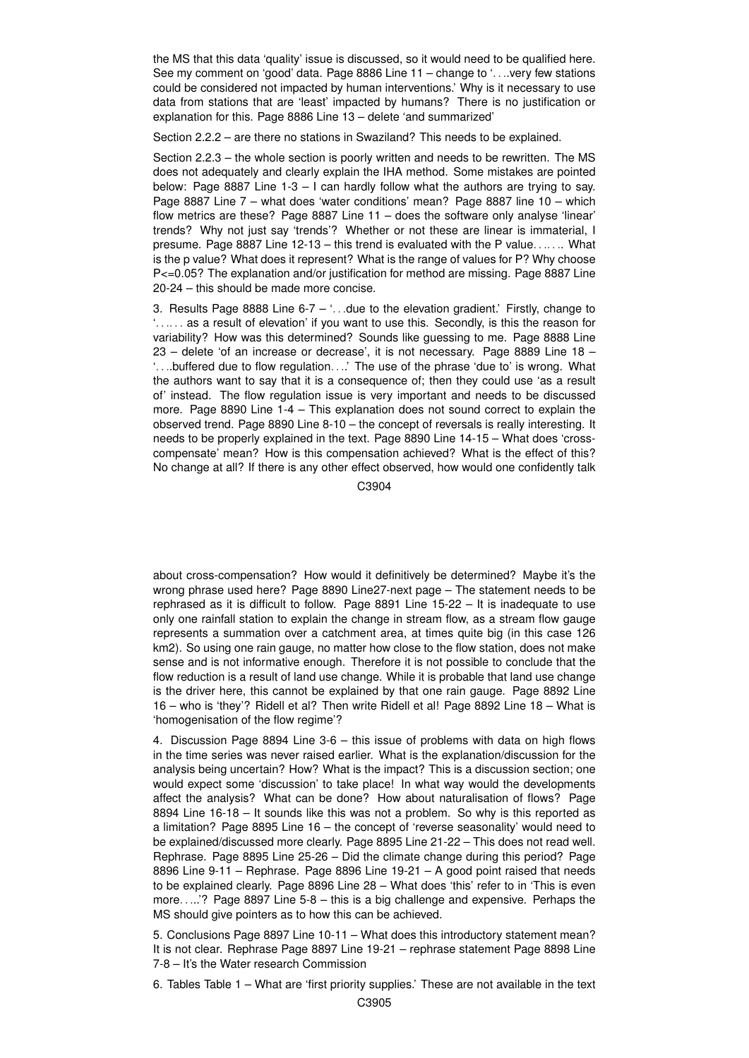the MS that this data 'quality' issue is discussed, so it would need to be qualified here. See my comment on 'good' data. Page 8886 Line 11 – change to '. . ..very few stations could be considered not impacted by human interventions.' Why is it necessary to use data from stations that are 'least' impacted by humans? There is no justification or explanation for this. Page 8886 Line 13 – delete 'and summarized'

Section 2.2.2 – are there no stations in Swaziland? This needs to be explained.

Section 2.2.3 – the whole section is poorly written and needs to be rewritten. The MS does not adequately and clearly explain the IHA method. Some mistakes are pointed below: Page 8887 Line 1-3 – I can hardly follow what the authors are trying to say. Page 8887 Line 7 – what does 'water conditions' mean? Page 8887 line 10 – which flow metrics are these? Page 8887 Line 11 – does the software only analyse 'linear' trends? Why not just say 'trends'? Whether or not these are linear is immaterial, I presume. Page 8887 Line 12-13 – this trend is evaluated with the P value. ... ... What is the p value? What does it represent? What is the range of values for P? Why choose P<=0.05? The explanation and/or justification for method are missing. Page 8887 Line 20-24 – this should be made more concise.

3. Results Page 8888 Line 6-7 –  $\ldots$  due to the elevation gradient.' Firstly, change to '...... as a result of elevation' if you want to use this. Secondly, is this the reason for variability? How was this determined? Sounds like guessing to me. Page 8888 Line 23 – delete 'of an increase or decrease', it is not necessary. Page 8889 Line 18 – '. . ..buffered due to flow regulation. . ..' The use of the phrase 'due to' is wrong. What the authors want to say that it is a consequence of; then they could use 'as a result of' instead. The flow regulation issue is very important and needs to be discussed more. Page 8890 Line 1-4 – This explanation does not sound correct to explain the observed trend. Page 8890 Line 8-10 – the concept of reversals is really interesting. It needs to be properly explained in the text. Page 8890 Line 14-15 – What does 'crosscompensate' mean? How is this compensation achieved? What is the effect of this? No change at all? If there is any other effect observed, how would one confidently talk

C3904

about cross-compensation? How would it definitively be determined? Maybe it's the wrong phrase used here? Page 8890 Line27-next page – The statement needs to be rephrased as it is difficult to follow. Page 8891 Line 15-22 – It is inadequate to use only one rainfall station to explain the change in stream flow, as a stream flow gauge represents a summation over a catchment area, at times quite big (in this case 126 km2). So using one rain gauge, no matter how close to the flow station, does not make sense and is not informative enough. Therefore it is not possible to conclude that the flow reduction is a result of land use change. While it is probable that land use change is the driver here, this cannot be explained by that one rain gauge. Page 8892 Line 16 – who is 'they'? Ridell et al? Then write Ridell et al! Page 8892 Line 18 – What is 'homogenisation of the flow regime'?

4. Discussion Page 8894 Line 3-6 – this issue of problems with data on high flows in the time series was never raised earlier. What is the explanation/discussion for the analysis being uncertain? How? What is the impact? This is a discussion section; one would expect some 'discussion' to take place! In what way would the developments affect the analysis? What can be done? How about naturalisation of flows? Page 8894 Line 16-18 – It sounds like this was not a problem. So why is this reported as a limitation? Page 8895 Line 16 – the concept of 'reverse seasonality' would need to be explained/discussed more clearly. Page 8895 Line 21-22 – This does not read well. Rephrase. Page 8895 Line 25-26 – Did the climate change during this period? Page 8896 Line 9-11 – Rephrase. Page 8896 Line 19-21 – A good point raised that needs to be explained clearly. Page 8896 Line 28 – What does 'this' refer to in 'This is even more. . ...'? Page 8897 Line 5-8 – this is a big challenge and expensive. Perhaps the MS should give pointers as to how this can be achieved.

5. Conclusions Page 8897 Line 10-11 – What does this introductory statement mean? It is not clear. Rephrase Page 8897 Line 19-21 – rephrase statement Page 8898 Line 7-8 – It's the Water research Commission

6. Tables Table 1 – What are 'first priority supplies.' These are not available in the text